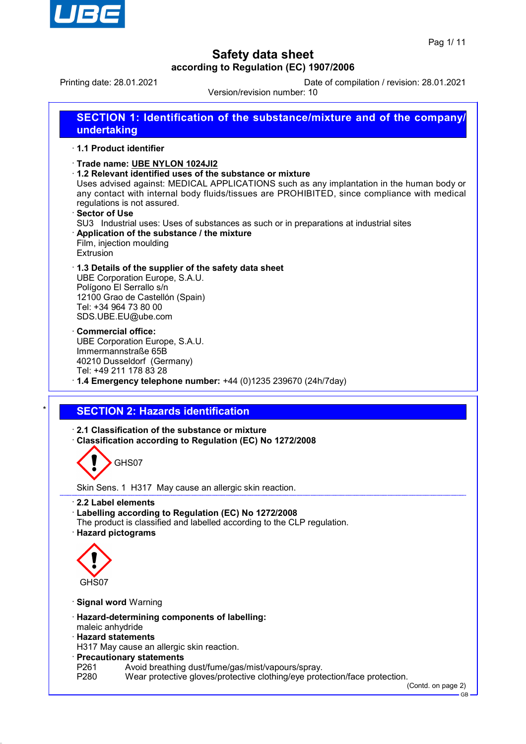

GB

# **Safety data sheet according to Regulation (EC) 1907/2006**

Printing date: 28.01.2021 Date of compilation / revision: 28.01.2021

Version/revision number: 10

| 1.1 Product identifier                    |                                                                                                                                                                                                                                                                                                                                                                                                                                                                                         |
|-------------------------------------------|-----------------------------------------------------------------------------------------------------------------------------------------------------------------------------------------------------------------------------------------------------------------------------------------------------------------------------------------------------------------------------------------------------------------------------------------------------------------------------------------|
| Sector of Use<br>Extrusion                | Trade name: UBE NYLON 1024JI2<br>1.2 Relevant identified uses of the substance or mixture<br>Uses advised against: MEDICAL APPLICATIONS such as any implantation in the human body or<br>any contact with internal body fluids/tissues are PROHIBITED, since compliance with medical<br>regulations is not assured.<br>SU3 Industrial uses: Uses of substances as such or in preparations at industrial sites<br>Application of the substance / the mixture<br>Film, injection moulding |
|                                           | 1.3 Details of the supplier of the safety data sheet<br>UBE Corporation Europe, S.A.U.<br>Polígono El Serrallo s/n<br>12100 Grao de Castellón (Spain)<br>Tel: +34 964 73 80 00<br>SDS.UBE.EU@ube.com                                                                                                                                                                                                                                                                                    |
| <b>Commercial office:</b>                 | UBE Corporation Europe, S.A.U.<br>Immermannstraße 65B<br>40210 Dusseldorf (Germany)<br>Tel: +49 211 178 83 28<br>$\cdot$ 1.4 Emergency telephone number: +44 (0)1235 239670 (24h/7day)                                                                                                                                                                                                                                                                                                  |
|                                           |                                                                                                                                                                                                                                                                                                                                                                                                                                                                                         |
|                                           |                                                                                                                                                                                                                                                                                                                                                                                                                                                                                         |
|                                           | <b>SECTION 2: Hazards identification</b>                                                                                                                                                                                                                                                                                                                                                                                                                                                |
|                                           | 2.1 Classification of the substance or mixture<br>Classification according to Regulation (EC) No 1272/2008<br>GHS07                                                                                                                                                                                                                                                                                                                                                                     |
|                                           | Skin Sens. 1 H317 May cause an allergic skin reaction.                                                                                                                                                                                                                                                                                                                                                                                                                                  |
| 2.2 Label elements<br>· Hazard pictograms | · Labelling according to Regulation (EC) No 1272/2008<br>The product is classified and labelled according to the CLP regulation.                                                                                                                                                                                                                                                                                                                                                        |
| GHS07                                     |                                                                                                                                                                                                                                                                                                                                                                                                                                                                                         |
| · Signal word Warning                     |                                                                                                                                                                                                                                                                                                                                                                                                                                                                                         |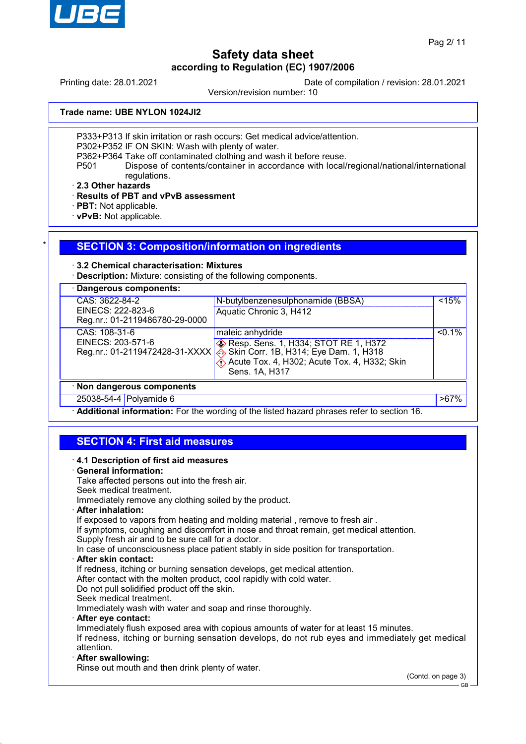

Printing date: 28.01.2021 Date of compilation / revision: 28.01.2021

Version/revision number: 10

**Trade name: UBE NYLON 1024JI2**

P333+P313 If skin irritation or rash occurs: Get medical advice/attention.

P302+P352 IF ON SKIN: Wash with plenty of water.

P362+P364 Take off contaminated clothing and wash it before reuse.

P501 Dispose of contents/container in accordance with local/regional/national/international regulations.

· **2.3 Other hazards**

· **Results of PBT and vPvB assessment**

- · **PBT:** Not applicable.
- · **vPvB:** Not applicable.

### **SECTION 3: Composition/information on ingredients**

### · **3.2 Chemical characterisation: Mixtures**

**Description:** Mixture: consisting of the following components.

| <b>Dangerous components:</b>   |                                                   |           |
|--------------------------------|---------------------------------------------------|-----------|
| CAS: 3622-84-2                 | N-butylbenzenesulphonamide (BBSA)                 | < 15%     |
| EINECS: 222-823-6              | Aquatic Chronic 3, H412                           |           |
| Reg.nr.: 01-2119486780-29-0000 |                                                   |           |
| CAS: 108-31-6                  | maleic anhydride                                  | $< 0.1\%$ |
| EINECS: 203-571-6              | <b>&amp; Resp. Sens. 1, H334; STOT RE 1, H372</b> |           |
| Reg.nr.: 01-2119472428-31-XXXX | Skin Corr. 1B, H314; Eye Dam. 1, H318             |           |
|                                | Acute Tox. 4, H302; Acute Tox. 4, H332; Skin      |           |
|                                | Sens. 1A, H317                                    |           |
| · Non dangerous components     |                                                   |           |
| 25038-54-4 Polyamide 6         |                                                   | $>67\%$   |

· **Additional information:** For the wording of the listed hazard phrases refer to section 16.

## **SECTION 4: First aid measures**

· **4.1 Description of first aid measures** · **General information:** Take affected persons out into the fresh air. Seek medical treatment. Immediately remove any clothing soiled by the product. · **After inhalation:** If exposed to vapors from heating and molding material, remove to fresh air. If symptoms, coughing and discomfort in nose and throat remain, get medical attention. Supply fresh air and to be sure call for a doctor. In case of unconsciousness place patient stably in side position for transportation. · **After skin contact:** If redness, itching or burning sensation develops, get medical attention. After contact with the molten product, cool rapidly with cold water. Do not pull solidified product off the skin. Seek medical treatment. Immediately wash with water and soap and rinse thoroughly. · **After eye contact:** Immediately flush exposed area with copious amounts of water for at least 15 minutes. If redness, itching or burning sensation develops, do not rub eyes and immediately get medical attention. · **After swallowing:** Rinse out mouth and then drink plenty of water.

(Contd. on page 3)

GB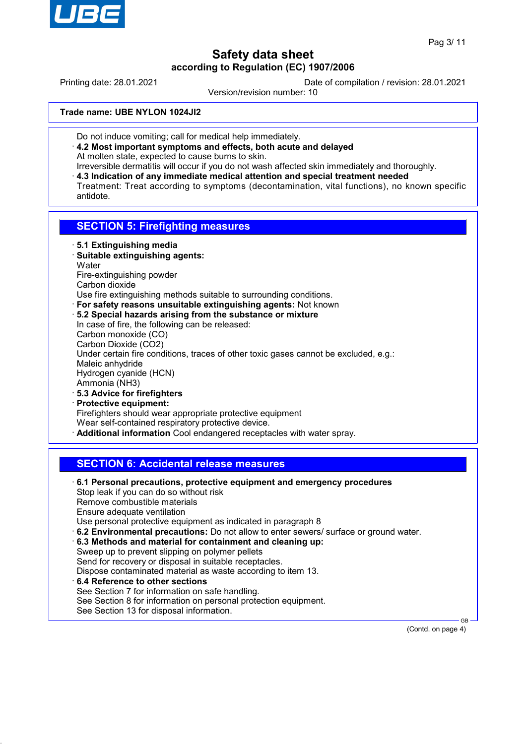

Printing date: 28.01.2021 Date of compilation / revision: 28.01.2021

Version/revision number: 10

**Trade name: UBE NYLON 1024JI2**

- Do not induce vomiting; call for medical help immediately.
- · **4.2 Most important symptoms and effects, both acute and delayed** At molten state, expected to cause burns to skin.
- Irreversible dermatitis will occur if you do not wash affected skin immediately and thoroughly. · **4.3 Indication of any immediate medical attention and special treatment needed** Treatment: Treat according to symptoms (decontamination, vital functions), no known specific antidote.

## **SECTION 5: Firefighting measures**

- · **5.1 Extinguishing media**
- · **Suitable extinguishing agents: Water** Fire-extinguishing powder Carbon dioxide
- Use fire extinguishing methods suitable to surrounding conditions.
- · **For safety reasons unsuitable extinguishing agents:** Not known
- · **5.2 Special hazards arising from the substance or mixture** In case of fire, the following can be released: Carbon monoxide (CO) Carbon Dioxide (CO2) Under certain fire conditions, traces of other toxic gases cannot be excluded, e.g.: Maleic anhydride Hydrogen cyanide (HCN) Ammonia (NH3) · **5.3 Advice for firefighters**
- · **Protective equipment:** Firefighters should wear appropriate protective equipment Wear self-contained respiratory protective device. · **Additional information** Cool endangered receptacles with water spray.

## **SECTION 6: Accidental release measures**

· **6.1 Personal precautions, protective equipment and emergency procedures** Stop leak if you can do so without risk Remove combustible materials Ensure adequate ventilation Use personal protective equipment as indicated in paragraph 8 · **6.2 Environmental precautions:** Do not allow to enter sewers/ surface or ground water. · **6.3 Methods and material for containment and cleaning up:** Sweep up to prevent slipping on polymer pellets Send for recovery or disposal in suitable receptacles. Dispose contaminated material as waste according to item 13. · **6.4 Reference to other sections** See Section 7 for information on safe handling. See Section 8 for information on personal protection equipment. See Section 13 for disposal information.

(Contd. on page 4)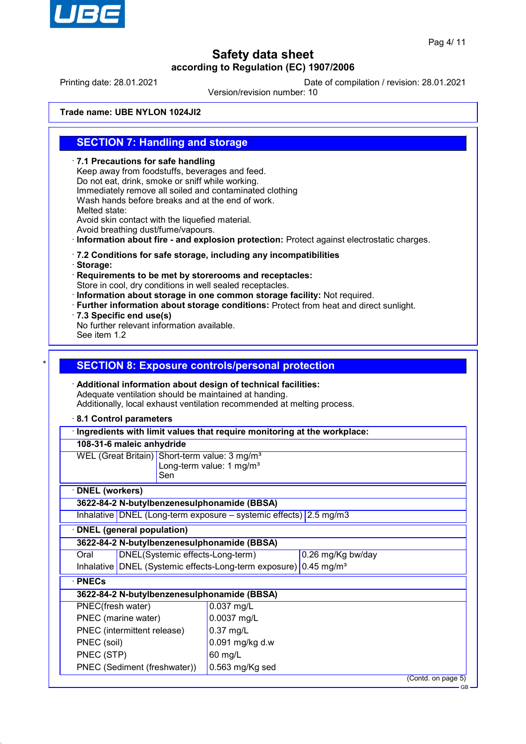

Printing date: 28.01.2021 Date of compilation / revision: 28.01.2021

Version/revision number: 10

**Trade name: UBE NYLON 1024JI2**

## **SECTION 7: Handling and storage**

· **7.1 Precautions for safe handling** Keep away from foodstuffs, beverages and feed. Do not eat, drink, smoke or sniff while working. Immediately remove all soiled and contaminated clothing Wash hands before breaks and at the end of work. Melted state: Avoid skin contact with the liquefied material. Avoid breathing dust/fume/vapours. · **Information about fire - and explosion protection:** Protect against electrostatic charges. · **7.2 Conditions for safe storage, including any incompatibilities** · **Storage:** · **Requirements to be met by storerooms and receptacles:** Store in cool, dry conditions in well sealed receptacles. · **Information about storage in one common storage facility:** Not required. · **Further information about storage conditions:** Protect from heat and direct sunlight. · **7.3 Specific end use(s)** No further relevant information available. See item 1.2 **SECTION 8: Exposure controls/personal protection** · **Additional information about design of technical facilities:** Adequate ventilation should be maintained at handing. Additionally, local exhaust ventilation recommended at melting process. · **8.1 Control parameters** · **Ingredients with limit values that require monitoring at the workplace: 108-31-6 maleic anhydride** WEL (Great Britain) Short-term value: 3 mg/m<sup>3</sup> Long-term value: 1 mg/m $3$ Sen · **DNEL (workers) 3622-84-2 N-butylbenzenesulphonamide (BBSA)** Inhalative DNEL (Long-term exposure – systemic effects) 2.5 mg/m3 · **DNEL (general population) 3622-84-2 N-butylbenzenesulphonamide (BBSA)** Oral DNEL(Systemic effects-Long-term) 0.26 mg/Kg bw/day Inhalative DNEL (Systemic effects-Long-term exposure) 0.45 mg/m<sup>3</sup> · **PNECs 3622-84-2 N-butylbenzenesulphonamide (BBSA)** PNEC(fresh water) 0.037 mg/L PNEC (marine water) 0.0037 mg/L PNEC (intermittent release) | 0.37 mg/L PNEC (soil)  $\vert$  0.091 mg/kg d.w PNEC (STP) 60 mg/L PNEC (Sediment (freshwater)) 0.563 mg/Kg sed

(Contd. on page 5)

GB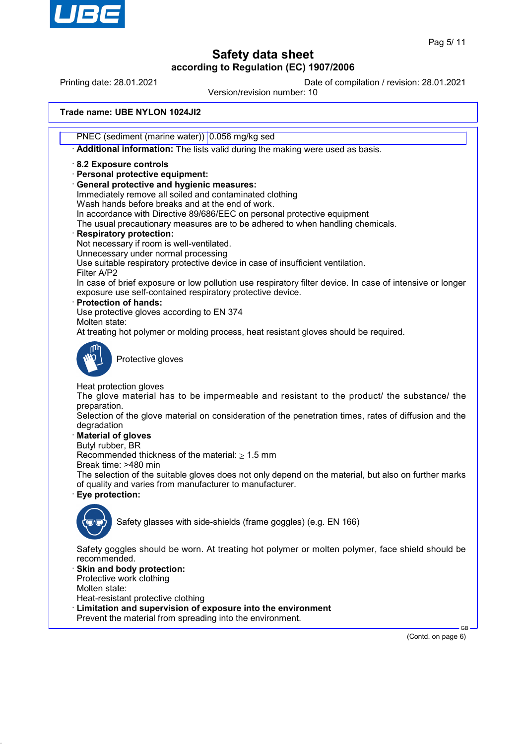

Printing date: 28.01.2021 Date of compilation / revision: 28.01.2021

Version/revision number: 10

### **Trade name: UBE NYLON 1024JI2**

PNEC (sediment (marine water)) 0.056 mg/kg sed

· **Additional information:** The lists valid during the making were used as basis.

### · **8.2 Exposure controls**

- · **Personal protective equipment:**
- · **General protective and hygienic measures:**
- Immediately remove all soiled and contaminated clothing
- Wash hands before breaks and at the end of work.
- In accordance with Directive 89/686/EEC on personal protective equipment

The usual precautionary measures are to be adhered to when handling chemicals.

### · **Respiratory protection:**

- Not necessary if room is well-ventilated.
- Unnecessary under normal processing

Use suitable respiratory protective device in case of insufficient ventilation.

Filter A/P2 In case of brief exposure or low pollution use respiratory filter device. In case of intensive or longer exposure use self-contained respiratory protective device.

· **Protection of hands:**

Use protective gloves according to EN 374

Molten state:

At treating hot polymer or molding process, heat resistant gloves should be required.



Protective gloves

Heat protection gloves

The glove material has to be impermeable and resistant to the product/ the substance/ the preparation.

Selection of the glove material on consideration of the penetration times, rates of diffusion and the degradation

### · **Material of gloves**

Butyl rubber, BR

Recommended thickness of the material:  $\geq 1.5$  mm

Break time: >480 min

The selection of the suitable gloves does not only depend on the material, but also on further marks of quality and varies from manufacturer to manufacturer.

· **Eye protection:**



Safety glasses with side-shields (frame goggles) (e.g. EN 166)

Safety goggles should be worn. At treating hot polymer or molten polymer, face shield should be recommended.

Skin and body protection: Protective work clothing

Molten state:

Heat-resistant protective clothing

- Limitation and supervision of exposure into the environment
- Prevent the material from spreading into the environment.

(Contd. on page 6)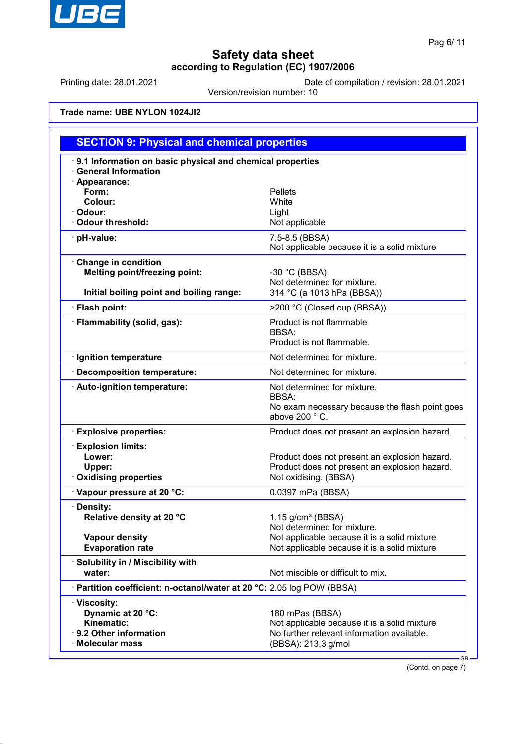

Printing date: 28.01.2021 Date of compilation / revision: 28.01.2021

Version/revision number: 10

## **Trade name: UBE NYLON 1024JI2**

| <b>SECTION 9: Physical and chemical properties</b>                                                      |                                                                                                                                      |
|---------------------------------------------------------------------------------------------------------|--------------------------------------------------------------------------------------------------------------------------------------|
| 9.1 Information on basic physical and chemical properties<br><b>General Information</b>                 |                                                                                                                                      |
| · Appearance:<br>Form:<br>Colour:<br>· Odour:<br>Odour threshold:                                       | <b>Pellets</b><br>White<br>Light<br>Not applicable                                                                                   |
| · pH-value:                                                                                             | 7.5-8.5 (BBSA)<br>Not applicable because it is a solid mixture                                                                       |
| Change in condition<br><b>Melting point/freezing point:</b><br>Initial boiling point and boiling range: | -30 °C (BBSA)<br>Not determined for mixture.<br>314 °C (a 1013 hPa (BBSA))                                                           |
| · Flash point:                                                                                          | >200 °C (Closed cup (BBSA))                                                                                                          |
| · Flammability (solid, gas):                                                                            | Product is not flammable<br>BBSA:<br>Product is not flammable.                                                                       |
| · Ignition temperature                                                                                  | Not determined for mixture.                                                                                                          |
| Decomposition temperature:                                                                              | Not determined for mixture.                                                                                                          |
| · Auto-ignition temperature:                                                                            | Not determined for mixture.<br><b>BBSA:</b><br>No exam necessary because the flash point goes<br>above 200 ° C.                      |
| <b>Explosive properties:</b>                                                                            | Product does not present an explosion hazard.                                                                                        |
| <b>Explosion limits:</b><br>Lower:<br>Upper:<br><b>Oxidising properties</b>                             | Product does not present an explosion hazard.<br>Product does not present an explosion hazard.<br>Not oxidising. (BBSA)              |
| Vapour pressure at 20 °C:                                                                               | 0.0397 mPa (BBSA)                                                                                                                    |
| · Density:<br>Relative density at 20 °C                                                                 | $1.15$ g/cm <sup>3</sup> (BBSA)<br>Not determined for mixture.                                                                       |
| <b>Vapour density</b><br><b>Evaporation rate</b>                                                        | Not applicable because it is a solid mixture<br>Not applicable because it is a solid mixture                                         |
| · Solubility in / Miscibility with<br>water:                                                            | Not miscible or difficult to mix.                                                                                                    |
| · Partition coefficient: n-octanol/water at 20 °C: 2.05 log POW (BBSA)                                  |                                                                                                                                      |
| · Viscosity:<br>Dynamic at 20 °C:<br>Kinematic:<br>· 9.2 Other information<br>· Molecular mass          | 180 mPas (BBSA)<br>Not applicable because it is a solid mixture<br>No further relevant information available.<br>(BBSA): 213,3 g/mol |

(Contd. on page 7)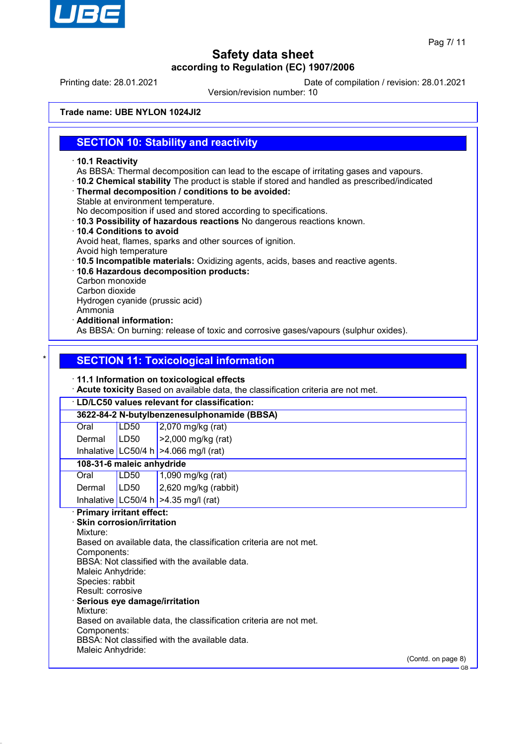

Printing date: 28.01.2021 Date of compilation / revision: 28.01.2021

Version/revision number: 10

**Trade name: UBE NYLON 1024JI2**

## **SECTION 10: Stability and reactivity**

- · **10.1 Reactivity**
- As BBSA: Thermal decomposition can lead to the escape of irritating gases and vapours.
- · **10.2 Chemical stability** The product is stable if stored and handled as prescribed/indicated
- · **Thermal decomposition / conditions to be avoided:**
- Stable at environment temperature.

No decomposition if used and stored according to specifications.

- · **10.3 Possibility of hazardous reactions** No dangerous reactions known.
- · **10.4 Conditions to avoid** Avoid heat, flames, sparks and other sources of ignition.
- Avoid high temperature
- · **10.5 Incompatible materials:** Oxidizing agents, acids, bases and reactive agents.
- · **10.6 Hazardous decomposition products:**
- Carbon monoxide
- Carbon dioxide

Hydrogen cyanide (prussic acid)

- Ammonia
- · **Additional information:**

As BBSA: On burning: release of toxic and corrosive gases/vapours (sulphur oxides).

## **SECTION 11: Toxicological information**

### · **11.1 Information on toxicological effects**

· **Acute toxicity** Based on available data, the classification criteria are not met.

# · **LD/LC50 values relevant for classification:**

**3622-84-2 N-butylbenzenesulphonamide (BBSA)**

| $\vert$ 2,070 mg/kg (rat) |
|---------------------------|
|                           |

| Dermal | LD50 | $\vert$ >2,000 mg/kg (rat) |
|--------|------|----------------------------|
|        |      |                            |

Inhalative LC50/4 h  $>4.066$  mg/l (rat)

### **108-31-6 maleic anhydride**

| Oral   | LD50 | $1,090$ mg/kg (rat)                    |
|--------|------|----------------------------------------|
| Dermal | LD50 | $\vert$ 2,620 mg/kg (rabbit)           |
|        |      | Inhalative $LC50/4 h$ >4.35 mg/l (rat) |

### · **Primary irritant effect:**

· **Skin corrosion/irritation** Mixture: Based on available data, the classification criteria are not met. Components: BBSA: Not classified with the available data. Maleic Anhydride: Species: rabbit Result: corrosive · **Serious eye damage/irritation** Mixture: Based on available data, the classification criteria are not met. Components: BBSA: Not classified with the available data. Maleic Anhydride:

(Contd. on page 8)

GB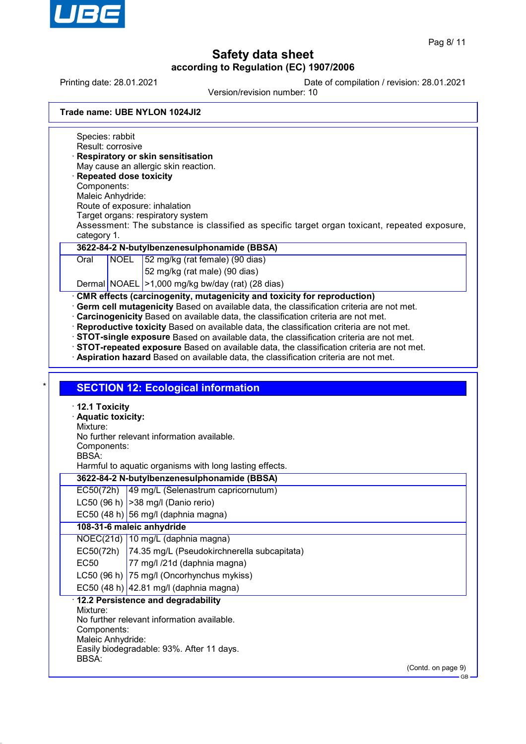

Printing date: 28.01.2021 Date of compilation / revision: 28.01.2021

Version/revision number: 10

| Trade name: UBE NYLON 1024JI2 |
|-------------------------------|
|-------------------------------|

Species: rabbit Result: corrosive · **Respiratory or skin sensitisation** May cause an allergic skin reaction. · **Repeated dose toxicity** Components: Maleic Anhydride: Route of exposure: inhalation Target organs: respiratory system Assessment: The substance is classified as specific target organ toxicant, repeated exposure, category 1. **3622-84-2 N-butylbenzenesulphonamide (BBSA)** Oral NOEL 52 mg/kg (rat female) (90 dias) 52 mg/kg (rat male) (90 dias) Dermal NOAEL >1,000 mg/kg bw/day (rat) (28 dias) **CMR effects (carcinogenity, mutagenicity and toxicity for reproduction)** · **Germ cell mutagenicity** Based on available data, the classification criteria are not met. · **Carcinogenicity** Based on available data, the classification criteria are not met. · **Reproductive toxicity** Based on available data, the classification criteria are not met. · **STOT-single exposure** Based on available data, the classification criteria are not met. · **STOT-repeated exposure** Based on available data, the classification criteria are not met. · **Aspiration hazard** Based on available data, the classification criteria are not met. **SECTION 12: Ecological information** · **12.1 Toxicity** · **Aquatic toxicity:** Mixture: No further relevant information available. Components: BBSA: Harmful to aquatic organisms with long lasting effects. **3622-84-2 N-butylbenzenesulphonamide (BBSA)** EC50(72h) 49 mg/L (Selenastrum capricornutum) LC50 (96 h)  $|$  > 38 mg/l (Danio rerio) EC50 (48 h) 56 mg/l (daphnia magna) **108-31-6 maleic anhydride** NOEC(21d) 10 mg/L (daphnia magna) EC50(72h) 74.35 mg/L (Pseudokirchnerella subcapitata) EC50 77 mg/l /21d (daphnia magna) LC50 (96 h) 75 mg/l (Oncorhynchus mykiss) EC50 (48 h)  $|42.81 \text{ mg/}$  (daphnia magna) · **12.2 Persistence and degradability** Mixture: No further relevant information available. Components: Maleic Anhydride: Easily biodegradable: 93%. After 11 days. BBSA: (Contd. on page 9) GB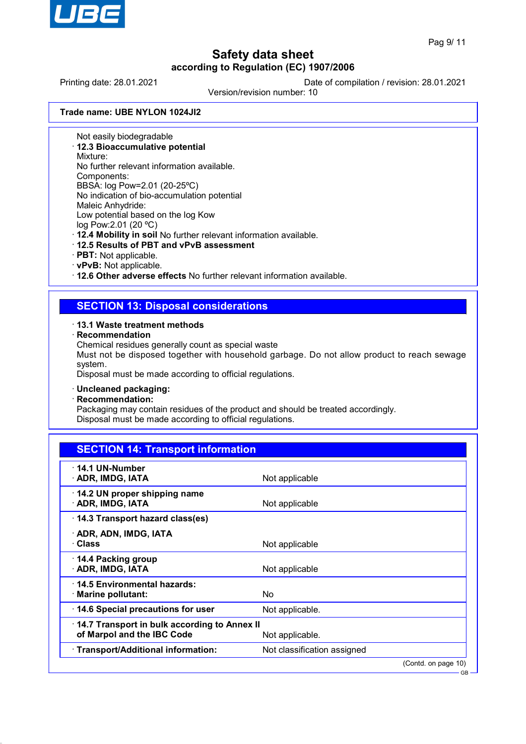

GB

# **Safety data sheet according to Regulation (EC) 1907/2006**

Printing date: 28.01.2021 Date of compilation / revision: 28.01.2021

Version/revision number: 10

### **Trade name: UBE NYLON 1024JI2**

Not easily biodegradable

· **12.3 Bioaccumulative potential**

Mixture:

No further relevant information available.

Components:

BBSA: log Pow=2.01 (20-25ºC) No indication of bio-accumulation potential

Maleic Anhydride:

Low potential based on the log Kow

log Pow:2.01 (20 ºC)

· **12.4 Mobility in soil** No further relevant information available.

- · **12.5 Results of PBT and vPvB assessment**
- · **PBT:** Not applicable.
- · **vPvB:** Not applicable.

· **12.6 Other adverse effects** No further relevant information available.

## **SECTION 13: Disposal considerations**

### · **13.1 Waste treatment methods**

· **Recommendation**

Chemical residues generally count as special waste

Must not be disposed together with household garbage. Do not allow product to reach sewage system.

Disposal must be made according to official regulations.

### · **Uncleaned packaging:**

· **Recommendation:**

Packaging may contain residues of the product and should be treated accordingly. Disposal must be made according to official regulations.

| <b>SECTION 14: Transport information</b>                                   |                             |  |
|----------------------------------------------------------------------------|-----------------------------|--|
| $\cdot$ 14.1 UN-Number<br>· ADR, IMDG, IATA                                | Not applicable              |  |
| 14.2 UN proper shipping name<br>· ADR, IMDG, IATA                          | Not applicable              |  |
| 14.3 Transport hazard class(es)                                            |                             |  |
| · ADR, ADN, IMDG, IATA<br>· Class                                          | Not applicable              |  |
| 14.4 Packing group<br>· ADR, IMDG, IATA                                    | Not applicable              |  |
| 14.5 Environmental hazards:<br>$\cdot$ Marine pollutant:                   | No                          |  |
| 14.6 Special precautions for user                                          | Not applicable.             |  |
| 14.7 Transport in bulk according to Annex II<br>of Marpol and the IBC Code | Not applicable.             |  |
| · Transport/Additional information:                                        | Not classification assigned |  |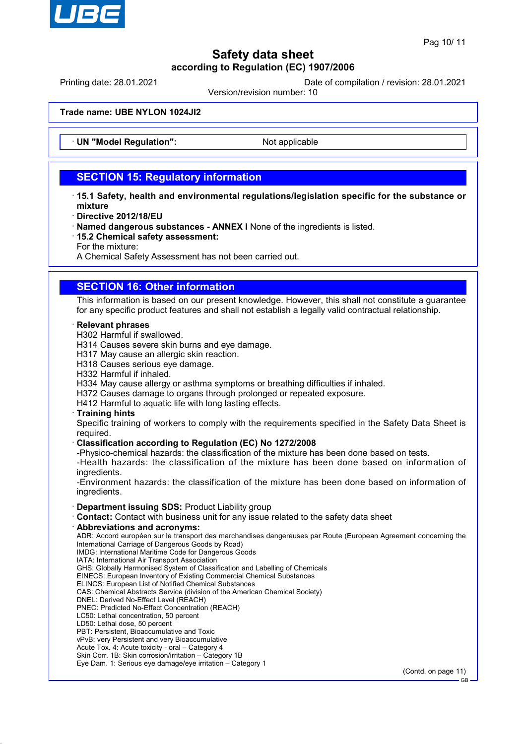

Printing date: 28.01.2021 Date of compilation / revision: 28.01.2021

Version/revision number: 10

**Trade name: UBE NYLON 1024JI2**

**UN "Model Regulation":** Not applicable

## **SECTION 15: Regulatory information**

- · **15.1 Safety, health and environmental regulations/legislation specific for the substance or mixture**
- · **Directive 2012/18/EU**
- · **Named dangerous substances ANNEX I** None of the ingredients is listed.
- · **15.2 Chemical safety assessment:**
- For the mixture:

A Chemical Safety Assessment has not been carried out.

## **SECTION 16: Other information**

This information is based on our present knowledge. However, this shall not constitute a guarantee for any specific product features and shall not establish a legally valid contractual relationship.

### · **Relevant phrases**

- H302 Harmful if swallowed.
- H314 Causes severe skin burns and eye damage.
- H317 May cause an allergic skin reaction.
- H318 Causes serious eye damage.
- H332 Harmful if inhaled.
- H334 May cause allergy or asthma symptoms or breathing difficulties if inhaled.
- H372 Causes damage to organs through prolonged or repeated exposure.
- H412 Harmful to aquatic life with long lasting effects.

### · **Training hints**

Specific training of workers to comply with the requirements specified in the Safety Data Sheet is required.

### · **Classification according to Regulation (EC) No 1272/2008**

-Physico-chemical hazards: the classification of the mixture has been done based on tests.

-Health hazards: the classification of the mixture has been done based on information of ingredients.

-Environment hazards: the classification of the mixture has been done based on information of ingredients.

### · **Department issuing SDS:** Product Liability group

- · **Contact:** Contact with business unit for any issue related to the safety data sheet
- · **Abbreviations and acronyms:**

ADR: Accord européen sur le transport des marchandises dangereuses par Route (European Agreement concerning the International Carriage of Dangerous Goods by Road) IMDG: International Maritime Code for Dangerous Goods

- IATA: International Air Transport Association
- GHS: Globally Harmonised System of Classification and Labelling of Chemicals
- EINECS: European Inventory of Existing Commercial Chemical Substances
- ELINCS: European List of Notified Chemical Substances
- CAS: Chemical Abstracts Service (division of the American Chemical Society)
- DNEL: Derived No-Effect Level (REACH)
- PNEC: Predicted No-Effect Concentration (REACH)
- LC50: Lethal concentration, 50 percent
- LD50: Lethal dose, 50 percent
- PBT: Persistent, Bioaccumulative and Toxic vPvB: very Persistent and very Bioaccumulative
- Acute Tox. 4: Acute toxicity oral Category 4
- Skin Corr. 1B: Skin corrosion/irritation Category 1B
- Eye Dam. 1: Serious eye damage/eye irritation Category 1

(Contd. on page 11)